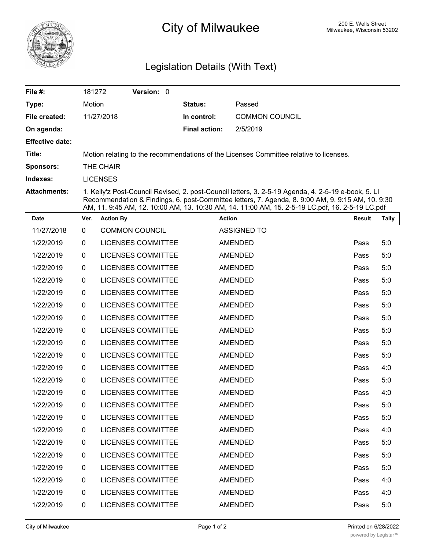

## City of Milwaukee Milwaukee, Wisconsin 53202

## Legislation Details (With Text)

| File #:                | 181272                                                                                                                                                                                                                                                                                                      | <b>Version: 0</b> |  |                      |                       |  |
|------------------------|-------------------------------------------------------------------------------------------------------------------------------------------------------------------------------------------------------------------------------------------------------------------------------------------------------------|-------------------|--|----------------------|-----------------------|--|
| Type:                  | Motion                                                                                                                                                                                                                                                                                                      |                   |  | <b>Status:</b>       | Passed                |  |
| File created:          | 11/27/2018                                                                                                                                                                                                                                                                                                  |                   |  | In control:          | <b>COMMON COUNCIL</b> |  |
| On agenda:             |                                                                                                                                                                                                                                                                                                             |                   |  | <b>Final action:</b> | 2/5/2019              |  |
| <b>Effective date:</b> |                                                                                                                                                                                                                                                                                                             |                   |  |                      |                       |  |
| Title:                 | Motion relating to the recommendations of the Licenses Committee relative to licenses.                                                                                                                                                                                                                      |                   |  |                      |                       |  |
| <b>Sponsors:</b>       | THE CHAIR                                                                                                                                                                                                                                                                                                   |                   |  |                      |                       |  |
| Indexes:               | <b>LICENSES</b>                                                                                                                                                                                                                                                                                             |                   |  |                      |                       |  |
| <b>Attachments:</b>    | 1. Kelly'z Post-Council Revised, 2. post-Council letters, 3. 2-5-19 Agenda, 4. 2-5-19 e-book, 5. LI<br>Recommendation & Findings, 6. post-Committee letters, 7. Agenda, 8. 9:00 AM, 9. 9:15 AM, 10. 9:30<br>AM, 11. 9:45 AM, 12. 10:00 AM, 13. 10:30 AM, 14. 11:00 AM, 15. 2-5-19 LC.pdf, 16. 2-5-19 LC.pdf |                   |  |                      |                       |  |

| Date       | Ver.        | <b>Action By</b>          | <b>Action</b>      | <b>Result</b> | <b>Tally</b> |
|------------|-------------|---------------------------|--------------------|---------------|--------------|
| 11/27/2018 | $\mathbf 0$ | <b>COMMON COUNCIL</b>     | <b>ASSIGNED TO</b> |               |              |
| 1/22/2019  | $\mathbf 0$ | <b>LICENSES COMMITTEE</b> | <b>AMENDED</b>     | Pass          | 5:0          |
| 1/22/2019  | $\mathbf 0$ | <b>LICENSES COMMITTEE</b> | <b>AMENDED</b>     | Pass          | 5:0          |
| 1/22/2019  | 0           | <b>LICENSES COMMITTEE</b> | <b>AMENDED</b>     | Pass          | 5:0          |
| 1/22/2019  | 0           | <b>LICENSES COMMITTEE</b> | <b>AMENDED</b>     | Pass          | 5:0          |
| 1/22/2019  | $\mathbf 0$ | <b>LICENSES COMMITTEE</b> | <b>AMENDED</b>     | Pass          | 5:0          |
| 1/22/2019  | 0           | <b>LICENSES COMMITTEE</b> | <b>AMENDED</b>     | Pass          | 5:0          |
| 1/22/2019  | 0           | <b>LICENSES COMMITTEE</b> | <b>AMENDED</b>     | Pass          | 5:0          |
| 1/22/2019  | 0           | <b>LICENSES COMMITTEE</b> | <b>AMENDED</b>     | Pass          | 5:0          |
| 1/22/2019  | $\mathbf 0$ | <b>LICENSES COMMITTEE</b> | <b>AMENDED</b>     | Pass          | 5:0          |
| 1/22/2019  | $\mathbf 0$ | <b>LICENSES COMMITTEE</b> | <b>AMENDED</b>     | Pass          | 5:0          |
| 1/22/2019  | $\mathbf 0$ | <b>LICENSES COMMITTEE</b> | <b>AMENDED</b>     | Pass          | 4:0          |
| 1/22/2019  | 0           | <b>LICENSES COMMITTEE</b> | <b>AMENDED</b>     | Pass          | 5:0          |
| 1/22/2019  | 0           | <b>LICENSES COMMITTEE</b> | <b>AMENDED</b>     | Pass          | 4:0          |
| 1/22/2019  | $\mathbf 0$ | <b>LICENSES COMMITTEE</b> | <b>AMENDED</b>     | Pass          | 5:0          |
| 1/22/2019  | 0           | <b>LICENSES COMMITTEE</b> | <b>AMENDED</b>     | Pass          | 5:0          |
| 1/22/2019  | 0           | LICENSES COMMITTEE        | <b>AMENDED</b>     | Pass          | 4:0          |
| 1/22/2019  | 0           | <b>LICENSES COMMITTEE</b> | <b>AMENDED</b>     | Pass          | 5:0          |
| 1/22/2019  | $\mathbf 0$ | <b>LICENSES COMMITTEE</b> | <b>AMENDED</b>     | Pass          | 5:0          |
| 1/22/2019  | $\mathbf 0$ | <b>LICENSES COMMITTEE</b> | <b>AMENDED</b>     | Pass          | 5:0          |
| 1/22/2019  | $\mathbf 0$ | <b>LICENSES COMMITTEE</b> | <b>AMENDED</b>     | Pass          | 4:0          |
| 1/22/2019  | 0           | <b>LICENSES COMMITTEE</b> | <b>AMENDED</b>     | Pass          | 4:0          |
| 1/22/2019  | 0           | <b>LICENSES COMMITTEE</b> | <b>AMENDED</b>     | Pass          | 5:0          |